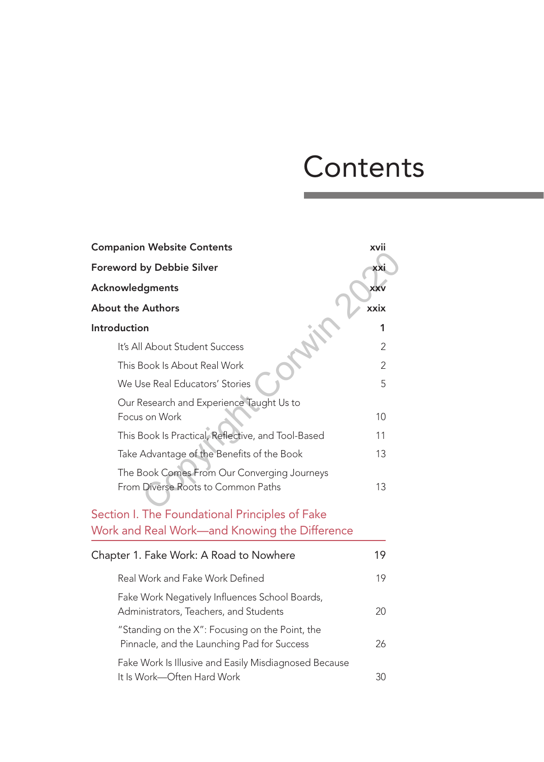## **Contents**

| <b>Companion Website Contents</b>                                                               | xvii       |
|-------------------------------------------------------------------------------------------------|------------|
| <b>Foreword by Debbie Silver</b>                                                                | XXI        |
| Acknowledgments                                                                                 | <b>XXV</b> |
| <b>About the Authors</b>                                                                        | xxix       |
| Introduction                                                                                    | 1          |
| It's All About Student Success                                                                  | 2          |
| This Book Is About Real Work                                                                    | 2          |
| We Use Real Educators' Stories                                                                  | 5          |
| Our Research and Experience Taught Us to<br>Focus on Work                                       | 10         |
| This Book Is Practical, Reflective, and Tool-Based                                              | 11         |
| Take Advantage of the Benefits of the Book                                                      | 13         |
| The Book Comes From Our Converging Journeys<br>From Diverse Roots to Common Paths               | 13         |
| Section I. The Foundational Principles of Fake<br>Work and Real Work—and Knowing the Difference |            |
| Chapter 1. Fake Work: A Road to Nowhere                                                         | 19         |
| Real Work and Fake Work Defined                                                                 | 19         |
| Fake Work Negatively Influences School Boards,<br>Administrators, Teachers, and Students        | 20         |
| "Standing on the X": Focusing on the Point, the<br>Pinnacle, and the Launching Pad for Success  | 26         |
| Fake Work Is Illusive and Easily Misdiagnosed Because<br>It Is Work-Often Hard Work             | 30         |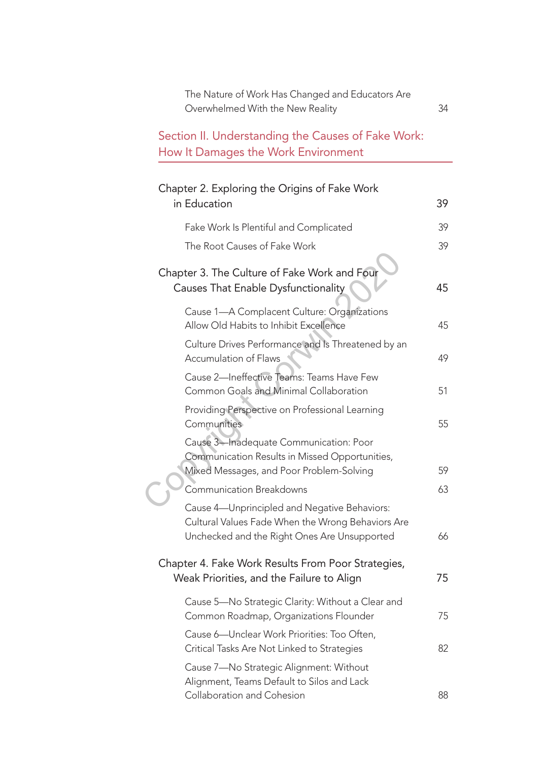The Nature of Work Has Changed and Educators Are Overwhelmed With the New Reality 34

Section II. Understanding the Causes of Fake Work: How It Damages the Work Environment

| Chapter 2. Exploring the Origins of Fake Work                                                                                                                    |          |
|------------------------------------------------------------------------------------------------------------------------------------------------------------------|----------|
| in Education                                                                                                                                                     | 39       |
| Fake Work Is Plentiful and Complicated                                                                                                                           | 39       |
| The Root Causes of Fake Work                                                                                                                                     | 39       |
| Chapter 3. The Culture of Fake Work and Four<br>Causes That Enable Dysfunctionality                                                                              | 45       |
| Cause 1-A Complacent Culture: Organizations<br>Allow Old Habits to Inhibit Excellence                                                                            | 45       |
| Culture Drives Performance and Is Threatened by an<br>Accumulation of Flaws                                                                                      | 49       |
| Cause 2-Ineffective Teams: Teams Have Few<br>Common Goals and Minimal Collaboration                                                                              | 51       |
| Providing Perspective on Professional Learning<br>Communities                                                                                                    | 55       |
| Cause 3-Inadequate Communication: Poor<br>Communication Results in Missed Opportunities,<br>Mixed Messages, and Poor Problem-Solving<br>Communication Breakdowns | 59<br>63 |
| Cause 4-Unprincipled and Negative Behaviors:<br>Cultural Values Fade When the Wrong Behaviors Are<br>Unchecked and the Right Ones Are Unsupported                | 66       |
| Chapter 4. Fake Work Results From Poor Strategies,<br>Weak Priorities, and the Failure to Align                                                                  | 75       |
| Cause 5-No Strategic Clarity: Without a Clear and<br>Common Roadmap, Organizations Flounder                                                                      | 75       |
| Cause 6-Unclear Work Priorities: Too Often,<br>Critical Tasks Are Not Linked to Strategies                                                                       | 82       |
| Cause 7-No Strategic Alignment: Without<br>Alignment, Teams Default to Silos and Lack<br>Collaboration and Cohesion                                              | 88       |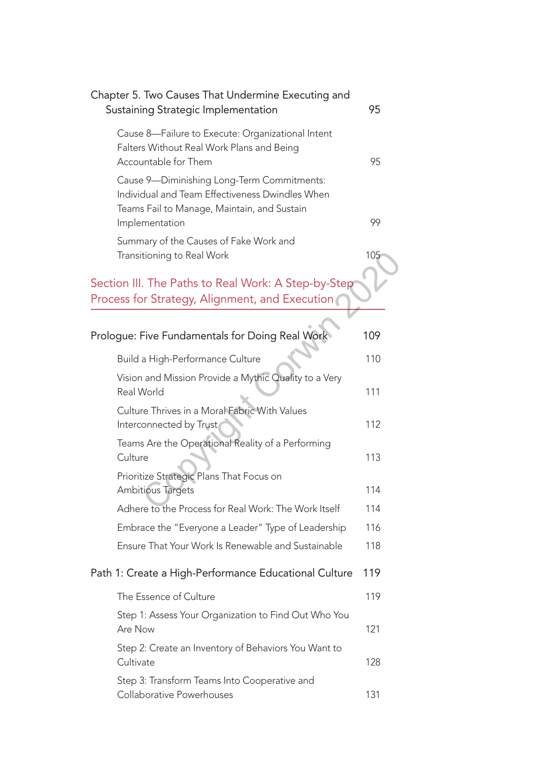| Chapter 5. Two Causes That Undermine Executing and<br>Sustaining Strategic Implementation                                                                      | 95  |
|----------------------------------------------------------------------------------------------------------------------------------------------------------------|-----|
| Cause 8-Failure to Execute: Organizational Intent<br>Falters Without Real Work Plans and Being<br>Accountable for Them                                         | 95  |
| Cause 9-Diminishing Long-Term Commitments:<br>Individual and Team Effectiveness Dwindles When<br>Teams Fail to Manage, Maintain, and Sustain<br>Implementation | 99  |
| Summary of the Causes of Fake Work and<br>Transitioning to Real Work                                                                                           | 105 |
| Section III. The Paths to Real Work: A Step-by-Step<br>Process for Strategy, Alignment, and Execution                                                          |     |
| Prologue: Five Fundamentals for Doing Real Work                                                                                                                | 109 |

| Transitioning to Real Work                                                                            | 105 |
|-------------------------------------------------------------------------------------------------------|-----|
| Section III. The Paths to Real Work: A Step-by-Step<br>Process for Strategy, Alignment, and Execution |     |
|                                                                                                       |     |
| Prologue: Five Fundamentals for Doing Real Work                                                       | 109 |
| Build a High-Performance Culture                                                                      | 110 |
| Vision and Mission Provide a Mythic Quality to a Very<br>Real World                                   | 111 |
| Culture Thrives in a Moral Fabric With Values<br>Interconnected by Trust                              | 112 |
| Teams Are the Operational Reality of a Performing<br>Culture                                          | 113 |
| Prioritize Strategic Plans That Focus on<br><b>Ambitious Targets</b>                                  | 114 |
| Adhere to the Process for Real Work: The Work Itself                                                  | 114 |
| Embrace the "Everyone a Leader" Type of Leadership                                                    | 116 |
| Ensure That Your Work Is Renewable and Sustainable                                                    | 118 |
| Path 1: Create a High-Performance Educational Culture                                                 | 119 |
| The Essence of Culture                                                                                | 119 |
| Step 1: Assess Your Organization to Find Out Who You<br>Are Now                                       | 121 |
| Step 2: Create an Inventory of Behaviors You Want to<br>Cultivate                                     | 128 |
| Step 3: Transform Teams Into Cooperative and<br>Collaborative Powerhouses                             | 131 |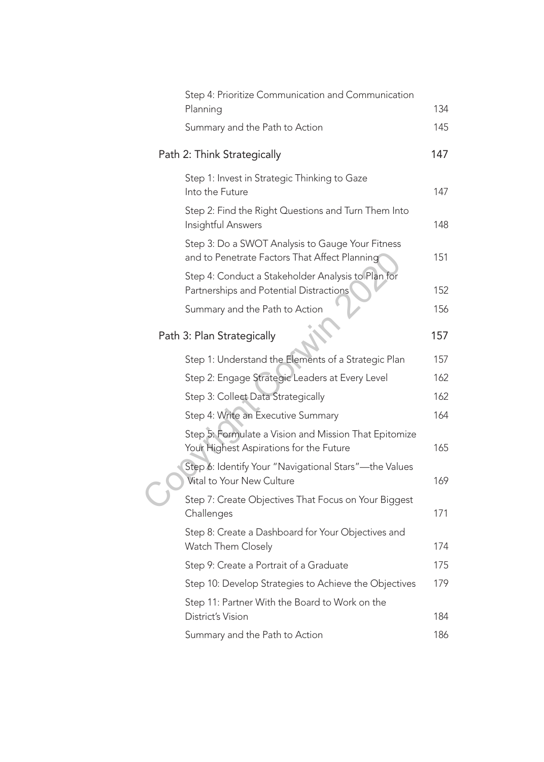| Step 4: Prioritize Communication and Communication<br>Planning                                    | 134 |
|---------------------------------------------------------------------------------------------------|-----|
| Summary and the Path to Action                                                                    | 145 |
| Path 2: Think Strategically                                                                       | 147 |
| Step 1: Invest in Strategic Thinking to Gaze<br>Into the Future                                   | 147 |
| Step 2: Find the Right Questions and Turn Them Into<br>Insightful Answers                         | 148 |
| Step 3: Do a SWOT Analysis to Gauge Your Fitness<br>and to Penetrate Factors That Affect Planning | 151 |
| Step 4: Conduct a Stakeholder Analysis to Plan for<br>Partnerships and Potential Distractions     | 152 |
| Summary and the Path to Action                                                                    | 156 |
| Path 3: Plan Strategically                                                                        | 157 |
| Step 1: Understand the Elements of a Strategic Plan                                               | 157 |
| Step 2: Engage Strategic Leaders at Every Level                                                   | 162 |
| Step 3: Collect Data Strategically                                                                | 162 |
| Step 4: Write an Executive Summary                                                                | 164 |
| Step 5: Formulate a Vision and Mission That Epitomize<br>Your Highest Aspirations for the Future  | 165 |
| Step 6: Identify Your "Navigational Stars"-the Values<br>Vital to Your New Culture                | 169 |
| Step 7: Create Objectives That Focus on Your Biggest<br>Challenges                                | 171 |
| Step 8: Create a Dashboard for Your Objectives and<br>Watch Them Closely                          | 174 |
| Step 9: Create a Portrait of a Graduate                                                           | 175 |
| Step 10: Develop Strategies to Achieve the Objectives                                             | 179 |
| Step 11: Partner With the Board to Work on the<br>District's Vision                               | 184 |
| Summary and the Path to Action                                                                    | 186 |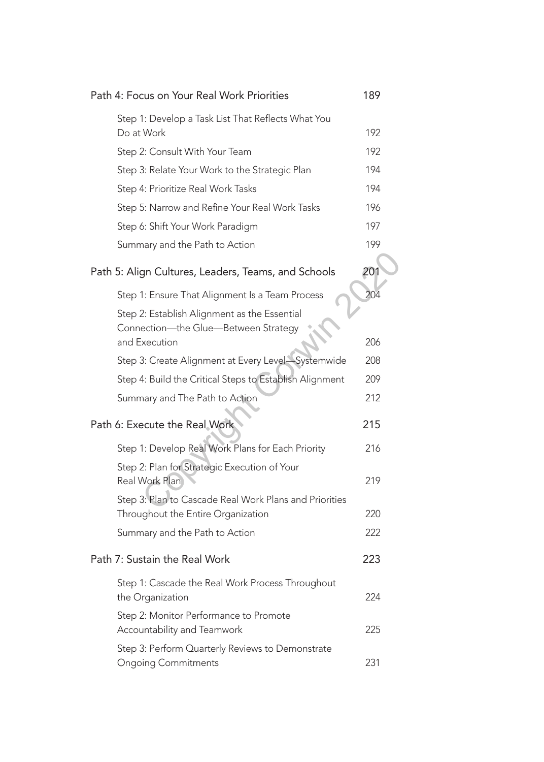| Path 4: Focus on Your Real Work Priorities                                                   | 189             |
|----------------------------------------------------------------------------------------------|-----------------|
| Step 1: Develop a Task List That Reflects What You<br>Do at Work                             | 192             |
| Step 2: Consult With Your Team                                                               | 192             |
| Step 3: Relate Your Work to the Strategic Plan                                               | 194             |
| Step 4: Prioritize Real Work Tasks                                                           | 194             |
| Step 5: Narrow and Refine Your Real Work Tasks                                               | 196             |
| Step 6: Shift Your Work Paradigm                                                             | 197             |
| Summary and the Path to Action                                                               | 199             |
| Path 5: Align Cultures, Leaders, Teams, and Schools                                          | 20 <sup>1</sup> |
| Step 1: Ensure That Alignment Is a Team Process                                              | 204             |
| Step 2: Establish Alignment as the Essential<br>Connection-the Glue-Between Strategy         |                 |
| and Execution                                                                                | 206             |
| Step 3: Create Alignment at Every Level-Systemwide                                           | 208             |
| Step 4: Build the Critical Steps to Establish Alignment                                      | 209             |
| Summary and The Path to Action                                                               | 212             |
| Path 6: Execute the Real Work                                                                | 215             |
| Step 1: Develop Real Work Plans for Each Priority                                            | 216             |
| Step 2: Plan for Strategic Execution of Your<br>Real Work Plan                               | 219             |
| Step 3: Plan to Cascade Real Work Plans and Priorities<br>Throughout the Entire Organization | 220             |
| Summary and the Path to Action                                                               | 222             |
| Path 7: Sustain the Real Work                                                                | 223             |
| Step 1: Cascade the Real Work Process Throughout<br>the Organization                         | 224             |
| Step 2: Monitor Performance to Promote<br>Accountability and Teamwork                        | 225             |
| Step 3: Perform Quarterly Reviews to Demonstrate<br><b>Ongoing Commitments</b>               | 231             |